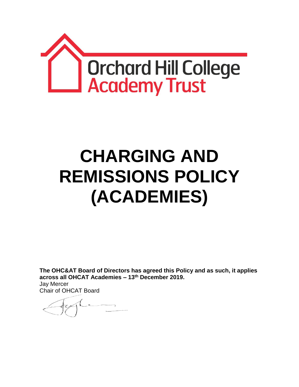

# **CHARGING AND REMISSIONS POLICY (ACADEMIES)**

**The OHC&AT Board of Directors has agreed this Policy and as such, it applies across all OHCAT Academies – 13th December 2019.** Jay Mercer Chair of OHCAT Board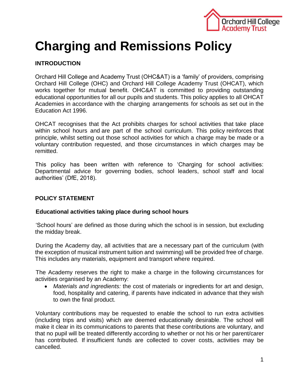

## **Charging and Remissions Policy**

### **INTRODUCTION**

Orchard Hill College and Academy Trust (OHC&AT) is a 'family' of providers, comprising Orchard Hill College (OHC) and Orchard Hill College Academy Trust (OHCAT), which works together for mutual benefit. OHC&AT is committed to providing outstanding educational opportunities for all our pupils and students. This policy applies to all OHCAT Academies in accordance with the charging arrangements for schools as set out in the Education Act 1996.

OHCAT recognises that the Act prohibits charges for school activities that take place within school hours and are part of the school curriculum. This policy reinforces that principle, whilst setting out those school activities for which a charge may be made or a voluntary contribution requested, and those circumstances in which charges may be remitted.

This policy has been written with reference to 'Charging for school activities: Departmental advice for governing bodies, school leaders, school staff and local authorities' (DfE, 2018).

#### **POLICY STATEMENT**

#### **Educational activities taking place during school hours**

'School hours' are defined as those during which the school is in session, but excluding the midday break.

During the Academy day, all activities that are a necessary part of the curriculum (with the exception of musical instrument tuition and swimming) will be provided free of charge. This includes any materials, equipment and transport where required.

The Academy reserves the right to make a charge in the following circumstances for activities organised by an Academy:

 *Materials and ingredients:* the cost of materials or ingredients for art and design, food, hospitality and catering, if parents have indicated in advance that they wish to own the final product.

Voluntary contributions may be requested to enable the school to run extra activities (including trips and visits) which are deemed educationally desirable. The school will make it clear in its communications to parents that these contributions are voluntary, and that no pupil will be treated differently according to whether or not his or her parent/carer has contributed. If insufficient funds are collected to cover costs, activities may be cancelled.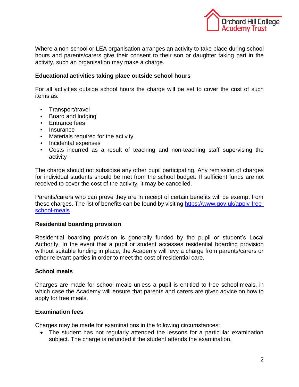

Where a non-school or LEA organisation arranges an activity to take place during school hours and parents/carers give their consent to their son or daughter taking part in the activity, such an organisation may make a charge.

#### **Educational activities taking place outside school hours**

For all activities outside school hours the charge will be set to cover the cost of such items as:

- Transport/travel
- Board and lodging
- Entrance fees
- Insurance
- Materials required for the activity
- Incidental expenses
- Costs incurred as a result of teaching and non-teaching staff supervising the activity

The charge should not subsidise any other pupil participating. Any remission of charges for individual students should be met from the school budget. If sufficient funds are not received to cover the cost of the activity, it may be cancelled.

Parents/carers who can prove they are in receipt of certain benefits will be exempt from these charges. The list of benefits can be found by visiting [https://www.gov.uk/apply-free](https://www.gov.uk/apply-free-school-meals)[school-meals](https://www.gov.uk/apply-free-school-meals)

#### **Residential boarding provision**

Residential boarding provision is generally funded by the pupil or student's Local Authority. In the event that a pupil or student accesses residential boarding provision without suitable funding in place, the Academy will levy a charge from parents/carers or other relevant parties in order to meet the cost of residential care.

#### **School meals**

Charges are made for school meals unless a pupil is entitled to free school meals, in which case the Academy will ensure that parents and carers are given advice on how to apply for free meals.

#### **Examination fees**

Charges may be made for examinations in the following circumstances:

 The student has not regularly attended the lessons for a particular examination subject. The charge is refunded if the student attends the examination.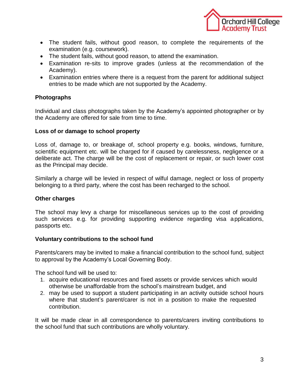

- The student fails, without good reason, to complete the requirements of the examination (e.g. coursework).
- The student fails, without good reason, to attend the examination.
- Examination re-sits to improve grades (unless at the recommendation of the Academy).
- Examination entries where there is a request from the parent for additional subject entries to be made which are not supported by the Academy.

#### **Photographs**

Individual and class photographs taken by the Academy's appointed photographer or by the Academy are offered for sale from time to time.

#### **Loss of or damage to school property**

Loss of, damage to, or breakage of, school property e.g. books, windows, furniture, scientific equipment etc. will be charged for if caused by carelessness, negligence or a deliberate act. The charge will be the cost of replacement or repair, or such lower cost as the Principal may decide.

Similarly a charge will be levied in respect of wilful damage, neglect or loss of property belonging to a third party, where the cost has been recharged to the school.

#### **Other charges**

The school may levy a charge for miscellaneous services up to the cost of providing such services e.g. for providing supporting evidence regarding visa applications, passports etc.

#### **Voluntary contributions to the school fund**

Parents/carers may be invited to make a financial contribution to the school fund, subject to approval by the Academy's Local Governing Body.

The school fund will be used to:

- 1. acquire educational resources and fixed assets or provide services which would otherwise be unaffordable from the school's mainstream budget, and
- 2. may be used to support a student participating in an activity outside school hours where that student's parent/carer is not in a position to make the requested contribution.

It will be made clear in all correspondence to parents/carers inviting contributions to the school fund that such contributions are wholly voluntary.